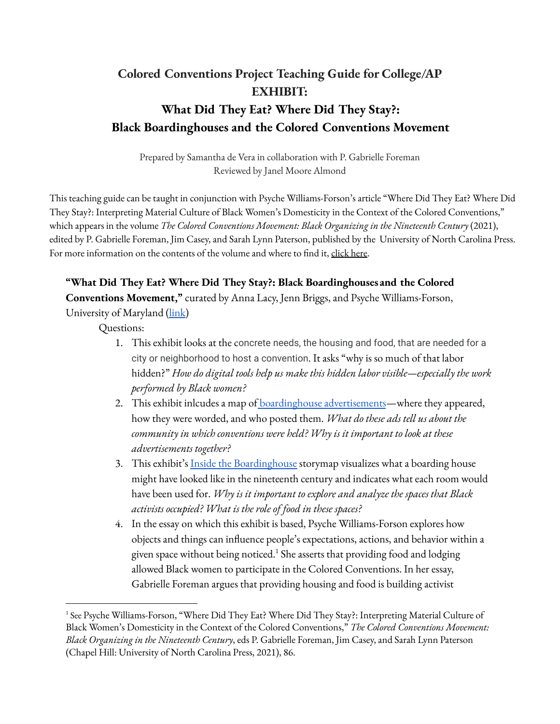## **Colored Conventions Project Teaching Guide for College/AP EXHIBIT: What Did They Eat? Where Did They Stay?: Black Boardinghouses and the Colored Conventions Movement**

Prepared by Samantha de Vera in collaboration with P. Gabrielle Foreman Reviewed by Janel Moore Almond

This teaching guide can be taught in conjunction with Psyche Williams-Forson's article "Where Did They Eat? Where Did They Stay?: Interpreting Material Culture of Black Women's Domesticity in the Context of the Colored Conventions," which appears in the volume *The Colored Conventions Movement: Black Organizing in the Nineteenth Century* (2021), edited by P. Gabrielle Foreman, Jim Casey, and Sarah Lynn Paterson, published by the University of North Carolina Press. For more information on the contents of the volume and where to find it, [click](https://coloredconventions.org/about/book/) here.

## **"What Did They Eat? Where Did They Stay?: Black Boardinghouses and the Colored**

**Conventions Movement,"** curated by Anna Lacy, Jenn Briggs, and Psyche Williams-Forson,

University of Maryland [\(link\)](https://coloredconventions.org/boardinghouses/)

Questions:

- 1. This exhibit looks at the concrete needs, the housing and food, that are needed for a city or neighborhood to host a convention. It asks "why is so much of that labor hidden?" *How do digital tools help us make this hidden labor visible—especially the work performed by Black women?*
- 2. This exhibit inlcudes a map of [boardinghouse](https://coloredconventions.org/boardinghouses/where-did-they-stay/) advertisements—where they appeared, how they were worded, and who posted them. *What do these ads tell us about the community in which conventions were held? Why is it important to look at these advertisements together?*
- 3. This exhibit's Inside the [Boardinghouse](https://coloredconventions.org/boardinghouses/where-did-they-stay/) storymap visualizes what a boarding house might have looked like in the nineteenth century and indicates what each room would have been used for. *Why is it important to explore and analyze the spaces that Black activists occupied? What is the role of food in these spaces?*
- 4. In the essay on which this exhibit is based, Psyche Williams-Forson explores how objects and things can influence people's expectations, actions, and behavior within a given space without being noticed. $^1$  She asserts that providing food and lodging allowed Black women to participate in the Colored Conventions. In her essay, Gabrielle Foreman argues that providing housing and food is building activist

<sup>1</sup> See Psyche Williams-Forson, "Where Did They Eat? Where Did They Stay?: Interpreting Material Culture of Black Women's Domesticity in the Context of the Colored Conventions," *The Colored Conventions Movement: Black Organizing in the Nineteenth Century*, eds P. Gabrielle Foreman, Jim Casey, and Sarah Lynn Paterson (Chapel Hill: University of North Carolina Press, 2021), 86.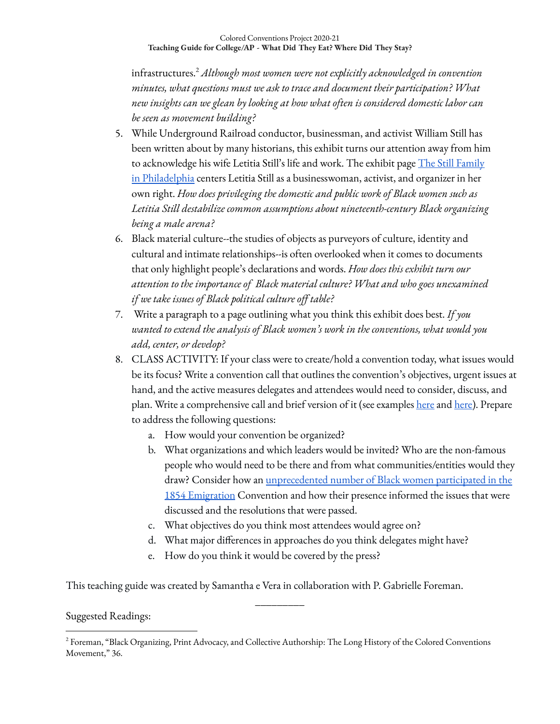infrastructures. *Although most women were not explicitly acknowledged in convention* 2 *minutes, what questions must we ask to trace and document their participation? What new insights can we glean by looking at how what often is considered domestic labor can be seen as movement building?*

- 5. While Underground Railroad conductor, businessman, and activist William Still has been written about by many historians, this exhibit turns our attention away from him to acknowledge his wife Letitia Still's life and work. The exhibit page The Still [Family](https://coloredconventions.org/boardinghouses/biographies/the-still-family-philadelphia/) in [Philadelphia](https://coloredconventions.org/boardinghouses/biographies/the-still-family-philadelphia/) centers Letitia Still as a businesswoman, activist, and organizer in her own right. *How does privileging the domestic and public work of Black women such as Letitia Still destabilize common assumptions about nineteenth-century Black organizing being a male arena?*
- 6. Black material culture--the studies of objects as purveyors of culture, identity and cultural and intimate relationships--is often overlooked when it comes to documents that only highlight people's declarations and words. *How does this exhibit turn our attention to the importance of Black material culture? What and who goes unexamined if we take issues of Black political culture off table?*
- 7. Write a paragraph to a page outlining what you think this exhibit does best. *If you wanted to extend the analysis of Black women's work in the conventions, what would you add, center, or develop?*
- 8. CLASS ACTIVITY: If your class were to create/hold a convention today, what issues would be its focus? Write a convention call that outlines the convention's objectives, urgent issues at hand, and the active measures delegates and attendees would need to consider, discuss, and plan. Write a comprehensive call and brief version of it (see examples [here](https://omeka.coloredconventions.org/items/show/596) and [here\)](https://omeka.coloredconventions.org/items/show/1656). Prepare to address the following questions:
	- a. How would your convention be organized?
	- b. What organizations and which leaders would be invited? Who are the non-famous people who would need to be there and from what communities/entities would they draw? Consider how an [unprecedented](https://coloredconventions.org/emigration-debate/women-involvement/women-delegates/) number of Black women participated in the 1854 [Emigration](https://coloredconventions.org/emigration-debate/women-involvement/women-delegates/) Convention and how their presence informed the issues that were discussed and the resolutions that were passed.
	- c. What objectives do you think most attendees would agree on?
	- d. What major differences in approaches do you think delegates might have?
	- e. How do you think it would be covered by the press?

This teaching guide was created by Samantha e Vera in collaboration with P. Gabrielle Foreman.

## Suggested Readings:

\_\_\_\_\_\_\_\_\_

<sup>2</sup> Foreman, "Black Organizing, Print Advocacy, and Collective Authorship: The Long History of the Colored Conventions Movement," 36.